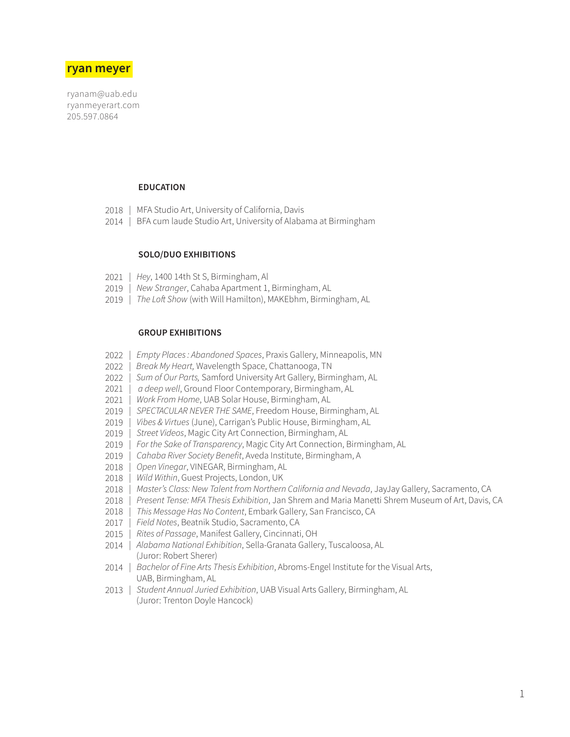# **ryan meyer**

ryanam@uab.edu ryanmeyerart.com 205.597.0864

# **EDUCATION**

- MFA Studio Art, University of California, Davis 2018
- | BFA cum laude Studio Art, University of Alabama at Birmingham 2014

# **SOLO/DUO EXHIBITIONS**

- | *Hey*, 1400 14th St S, Birmingham, Al 2021
- | *New Stranger*, Cahaba Apartment 1, Birmingham, AL 2019
- | *The Loft Show* (with Will Hamilton), MAKEbhm, Birmingham, AL 2019

# **GROUP EXHIBITIONS**

- | *Empty Places : Abandoned Spaces*, Praxis Gallery, Minneapolis, MN 2022
- *| Break My Heart,* Wavelength Space, Chattanooga, TN 2022
- *| Sum of Our Parts,* Samford University Art Gallery, Birmingham, AL 2022
- *| a deep well*, Ground Floor Contemporary, Birmingham, AL 2021
- | *Work From Home*, UAB Solar House, Birmingham, AL 2021
- | *SPECTACULAR NEVER THE SAME*, Freedom House, Birmingham, AL 2019
- | *Vibes & Virtues* (June), Carrigan's Public House, Birmingham, AL 2019
- | *Street Videos*, Magic City Art Connection, Birmingham, AL 2019
- | *For the Sake of Transparency*, Magic City Art Connection, Birmingham, AL 2019
- | *Cahaba River Society Benefit*, Aveda Institute, Birmingham, A 2019
- | *Open Vinegar*, VINEGAR, Birmingham, AL 2018
- | *Wild Within*, Guest Projects, London, UK 2018
- 2018 | *Master's Class: New Talent from Northern California and Nevada,* JayJay Gallery, Sacramento, CA
- | *Present Tense: MFA Thesis Exhibition*, Jan Shrem and Maria Manetti Shrem Museum of Art, Davis, CA 2018
- | *This Message Has No Content*, Embark Gallery, San Francisco, CA 2018
- | *Field Notes*, Beatnik Studio, Sacramento, CA 2017
- | *Rites of Passage*, Manifest Gallery, Cincinnati, OH 2015
- 2014 | Alabama National Exhibition, Sella-Granata Gallery, Tuscaloosa, AL (Juror: Robert Sherer)
- 2014 | *Bachelor of Fine Arts Thesis Exhibition*, Abroms-Engel Institute for the Visual Arts, UAB, Birmingham, AL
- | *Student Annual Juried Exhibition*, UAB Visual Arts Gallery, Birmingham, AL 2013 (Juror: Trenton Doyle Hancock)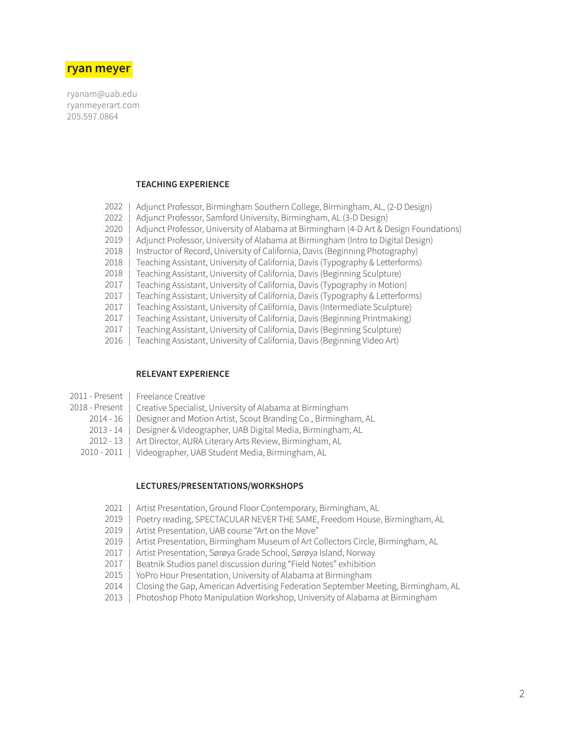

ryanam@uab.edu ryanmeyerart.com 205.597.0864

# **TEACHING EXPERIENCE**

- | Adjunct Professor, Birmingham Southern College, Birmingham, AL, (2-D Design) 2022
- | Adjunct Professor, Samford University, Birmingham, AL (3-D Design) 2022
- Adjunct Professor, University of Alabama at Birmingham (4-D Art & Design Foundations) 2020
- | Adjunct Professor, University of Alabama at Birmingham (Intro to Digital Design) 2019
- | Instructor of Record, University of California, Davis (Beginning Photography) 2018
- | Teaching Assistant, University of California, Davis (Typography & Letterforms) 2018
- | Teaching Assistant, University of California, Davis (Beginning Sculpture) 2018
- | Teaching Assistant, University of California, Davis (Typography in Motion) 2017
- | Teaching Assistant, University of California, Davis (Typography & Letterforms) 2017
- | Teaching Assistant, University of California, Davis (Intermediate Sculpture) 2017
- | Teaching Assistant, University of California, Davis (Beginning Printmaking) 2017
- | Teaching Assistant, University of California, Davis (Beginning Sculpture) 2017
- | Teaching Assistant, University of California, Davis (Beginning Video Art) 2016

# **RELEVANT EXPERIENCE**

- | Freelance Creative 2011 - Present
- | Creative Specialist, University of Alabama at Birmingham 2018 - Present
	- | Designer and Motion Artist, Scout Branding Co., Birmingham, AL 2014 - 16
	- | Designer & Videographer, UAB Digital Media, Birmingham, AL  $2013 - 14$
	- Art Director, AURA Literary Arts Review, Birmingham, AL  $2012 - 13$
	- 2010 2011 | Videographer, UAB Student Media, Birmingham, AL

#### **LECTURES/PRESENTATIONS/WORKSHOPS**

- Artist Presentation, Ground Floor Contemporary, Birmingham, AL 2021
- Poetry reading, SPECTACULAR NEVER THE SAME, Freedom House, Birmingham, AL 2019
- Artist Presentation, UAB course "Art on the Move" 2019
- Artist Presentation, Birmingham Museum of Art Collectors Circle, Birmingham, AL 2019
- | Artist Presentation, Sørøya Grade School, Sørøya Island, Norway 2017
- Beatnik Studios panel discussion during "Field Notes" exhibition 2017
- | YoPro Hour Presentation, University of Alabama at Birmingham 2015
- | Closing the Gap, American Advertising Federation September Meeting, Birmingham, AL 2014
- | Photoshop Photo Manipulation Workshop, University of Alabama at Birmingham 2013